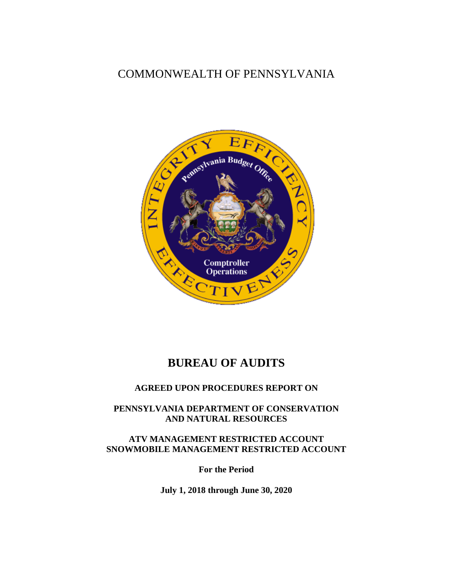## COMMONWEALTH OF PENNSYLVANIA



## **BUREAU OF AUDITS**

#### **AGREED UPON PROCEDURES REPORT ON**

**PENNSYLVANIA DEPARTMENT OF CONSERVATION AND NATURAL RESOURCES**

**ATV MANAGEMENT RESTRICTED ACCOUNT SNOWMOBILE MANAGEMENT RESTRICTED ACCOUNT**

**For the Period**

**July 1, 2018 through June 30, 2020**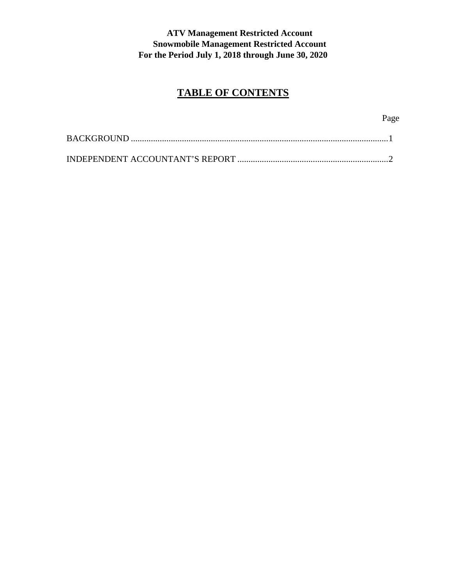# **TABLE OF CONTENTS**

Page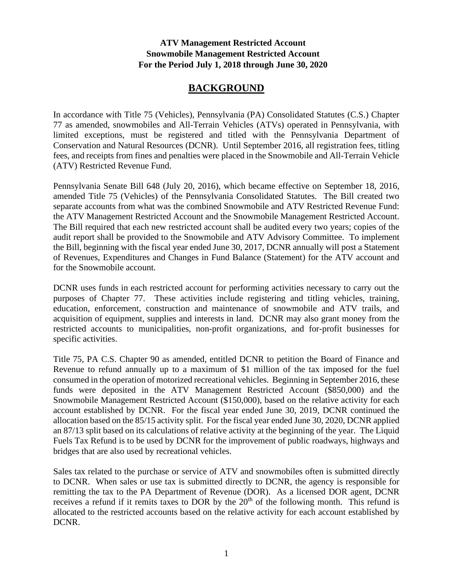### **BACKGROUND**

In accordance with Title 75 (Vehicles), Pennsylvania (PA) Consolidated Statutes (C.S.) Chapter 77 as amended, snowmobiles and All-Terrain Vehicles (ATVs) operated in Pennsylvania, with limited exceptions, must be registered and titled with the Pennsylvania Department of Conservation and Natural Resources (DCNR). Until September 2016, all registration fees, titling fees, and receipts from fines and penalties were placed in the Snowmobile and All-Terrain Vehicle (ATV) Restricted Revenue Fund.

Pennsylvania Senate Bill 648 (July 20, 2016), which became effective on September 18, 2016, amended Title 75 (Vehicles) of the Pennsylvania Consolidated Statutes. The Bill created two separate accounts from what was the combined Snowmobile and ATV Restricted Revenue Fund: the ATV Management Restricted Account and the Snowmobile Management Restricted Account. The Bill required that each new restricted account shall be audited every two years; copies of the audit report shall be provided to the Snowmobile and ATV Advisory Committee. To implement the Bill, beginning with the fiscal year ended June 30, 2017, DCNR annually will post a Statement of Revenues, Expenditures and Changes in Fund Balance (Statement) for the ATV account and for the Snowmobile account.

DCNR uses funds in each restricted account for performing activities necessary to carry out the purposes of Chapter 77. These activities include registering and titling vehicles, training, education, enforcement, construction and maintenance of snowmobile and ATV trails, and acquisition of equipment, supplies and interests in land. DCNR may also grant money from the restricted accounts to municipalities, non-profit organizations, and for-profit businesses for specific activities.

Title 75, PA C.S. Chapter 90 as amended, entitled DCNR to petition the Board of Finance and Revenue to refund annually up to a maximum of \$1 million of the tax imposed for the fuel consumed in the operation of motorized recreational vehicles. Beginning in September 2016, these funds were deposited in the ATV Management Restricted Account (\$850,000) and the Snowmobile Management Restricted Account (\$150,000), based on the relative activity for each account established by DCNR. For the fiscal year ended June 30, 2019, DCNR continued the allocation based on the 85/15 activity split. For the fiscal year ended June 30, 2020, DCNR applied an 87/13 split based on its calculations of relative activity at the beginning of the year. The Liquid Fuels Tax Refund is to be used by DCNR for the improvement of public roadways, highways and bridges that are also used by recreational vehicles.

Sales tax related to the purchase or service of ATV and snowmobiles often is submitted directly to DCNR. When sales or use tax is submitted directly to DCNR, the agency is responsible for remitting the tax to the PA Department of Revenue (DOR). As a licensed DOR agent, DCNR receives a refund if it remits taxes to DOR by the  $20<sup>th</sup>$  of the following month. This refund is allocated to the restricted accounts based on the relative activity for each account established by DCNR.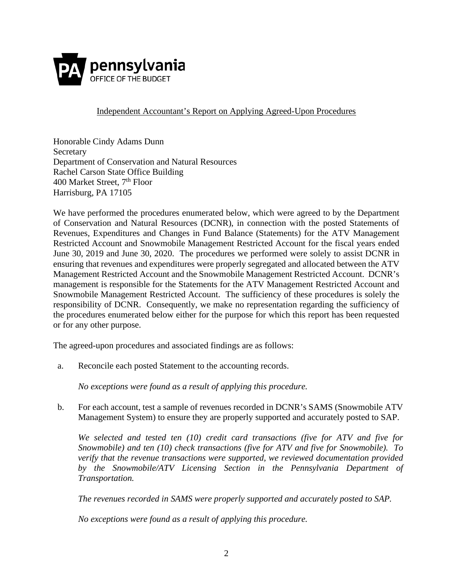

Independent Accountant's Report on Applying Agreed-Upon Procedures

Honorable Cindy Adams Dunn **Secretary** Department of Conservation and Natural Resources Rachel Carson State Office Building 400 Market Street, 7<sup>th</sup> Floor Harrisburg, PA 17105

We have performed the procedures enumerated below, which were agreed to by the Department of Conservation and Natural Resources (DCNR), in connection with the posted Statements of Revenues, Expenditures and Changes in Fund Balance (Statements) for the ATV Management Restricted Account and Snowmobile Management Restricted Account for the fiscal years ended June 30, 2019 and June 30, 2020. The procedures we performed were solely to assist DCNR in ensuring that revenues and expenditures were properly segregated and allocated between the ATV Management Restricted Account and the Snowmobile Management Restricted Account. DCNR's management is responsible for the Statements for the ATV Management Restricted Account and Snowmobile Management Restricted Account. The sufficiency of these procedures is solely the responsibility of DCNR. Consequently, we make no representation regarding the sufficiency of the procedures enumerated below either for the purpose for which this report has been requested or for any other purpose.

The agreed-upon procedures and associated findings are as follows:

a. Reconcile each posted Statement to the accounting records.

*No exceptions were found as a result of applying this procedure.*

b. For each account, test a sample of revenues recorded in DCNR's SAMS (Snowmobile ATV Management System) to ensure they are properly supported and accurately posted to SAP.

*We selected and tested ten (10) credit card transactions (five for ATV and five for Snowmobile) and ten (10) check transactions (five for ATV and five for Snowmobile). To verify that the revenue transactions were supported, we reviewed documentation provided by the Snowmobile/ATV Licensing Section in the Pennsylvania Department of Transportation.* 

*The revenues recorded in SAMS were properly supported and accurately posted to SAP.* 

*No exceptions were found as a result of applying this procedure.*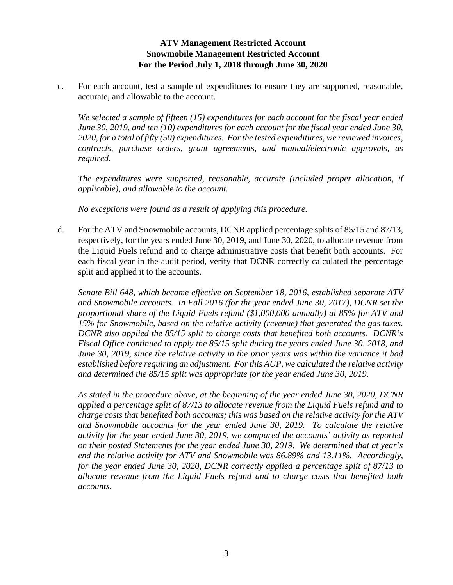c. For each account, test a sample of expenditures to ensure they are supported, reasonable, accurate, and allowable to the account.

*We selected a sample of fifteen (15) expenditures for each account for the fiscal year ended June 30, 2019, and ten (10) expenditures for each account for the fiscal year ended June 30, 2020, for a total of fifty (50) expenditures. For the tested expenditures, we reviewed invoices, contracts, purchase orders, grant agreements, and manual/electronic approvals, as required.* 

*The expenditures were supported, reasonable, accurate (included proper allocation, if applicable), and allowable to the account.* 

*No exceptions were found as a result of applying this procedure.*

d. For the ATV and Snowmobile accounts, DCNR applied percentage splits of 85/15 and 87/13, respectively, for the years ended June 30, 2019, and June 30, 2020, to allocate revenue from the Liquid Fuels refund and to charge administrative costs that benefit both accounts. For each fiscal year in the audit period, verify that DCNR correctly calculated the percentage split and applied it to the accounts.

*Senate Bill 648, which became effective on September 18, 2016, established separate ATV and Snowmobile accounts. In Fall 2016 (for the year ended June 30, 2017), DCNR set the proportional share of the Liquid Fuels refund (\$1,000,000 annually) at 85% for ATV and 15% for Snowmobile, based on the relative activity (revenue) that generated the gas taxes. DCNR also applied the 85/15 split to charge costs that benefited both accounts. DCNR's Fiscal Office continued to apply the 85/15 split during the years ended June 30, 2018, and June 30, 2019, since the relative activity in the prior years was within the variance it had established before requiring an adjustment. For this AUP, we calculated the relative activity and determined the 85/15 split was appropriate for the year ended June 30, 2019.*

*As stated in the procedure above, at the beginning of the year ended June 30, 2020, DCNR applied a percentage split of 87/13 to allocate revenue from the Liquid Fuels refund and to charge costs that benefited both accounts; this was based on the relative activity for the ATV and Snowmobile accounts for the year ended June 30, 2019. To calculate the relative activity for the year ended June 30, 2019, we compared the accounts' activity as reported on their posted Statements for the year ended June 30, 2019. We determined that at year's end the relative activity for ATV and Snowmobile was 86.89% and 13.11%. Accordingly, for the year ended June 30, 2020, DCNR correctly applied a percentage split of 87/13 to allocate revenue from the Liquid Fuels refund and to charge costs that benefited both accounts.*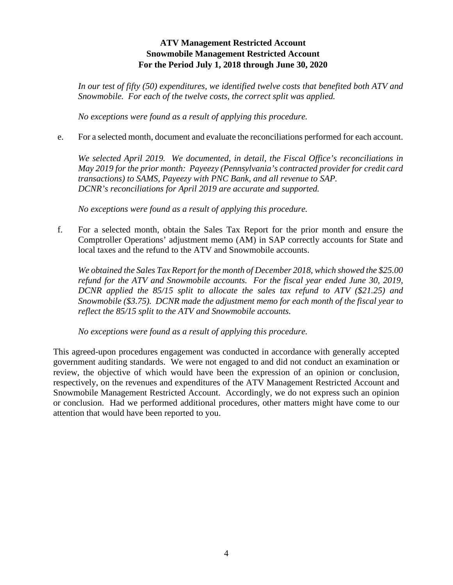*In our test of fifty (50) expenditures, we identified twelve costs that benefited both ATV and Snowmobile. For each of the twelve costs, the correct split was applied.*

*No exceptions were found as a result of applying this procedure.*

e. For a selected month, document and evaluate the reconciliations performed for each account.

*We selected April 2019. We documented, in detail, the Fiscal Office's reconciliations in May 2019 for the prior month: Payeezy (Pennsylvania's contracted provider for credit card transactions) to SAMS, Payeezy with PNC Bank, and all revenue to SAP. DCNR's reconciliations for April 2019 are accurate and supported.* 

*No exceptions were found as a result of applying this procedure.*

f. For a selected month, obtain the Sales Tax Report for the prior month and ensure the Comptroller Operations' adjustment memo (AM) in SAP correctly accounts for State and local taxes and the refund to the ATV and Snowmobile accounts.

*We obtained the Sales Tax Report for the month of December 2018, which showed the \$25.00 refund for the ATV and Snowmobile accounts. For the fiscal year ended June 30, 2019, DCNR applied the 85/15 split to allocate the sales tax refund to ATV (\$21.25) and Snowmobile (\$3.75). DCNR made the adjustment memo for each month of the fiscal year to reflect the 85/15 split to the ATV and Snowmobile accounts.*

*No exceptions were found as a result of applying this procedure.*

This agreed-upon procedures engagement was conducted in accordance with generally accepted government auditing standards. We were not engaged to and did not conduct an examination or review, the objective of which would have been the expression of an opinion or conclusion, respectively, on the revenues and expenditures of the ATV Management Restricted Account and Snowmobile Management Restricted Account. Accordingly, we do not express such an opinion or conclusion. Had we performed additional procedures, other matters might have come to our attention that would have been reported to you.